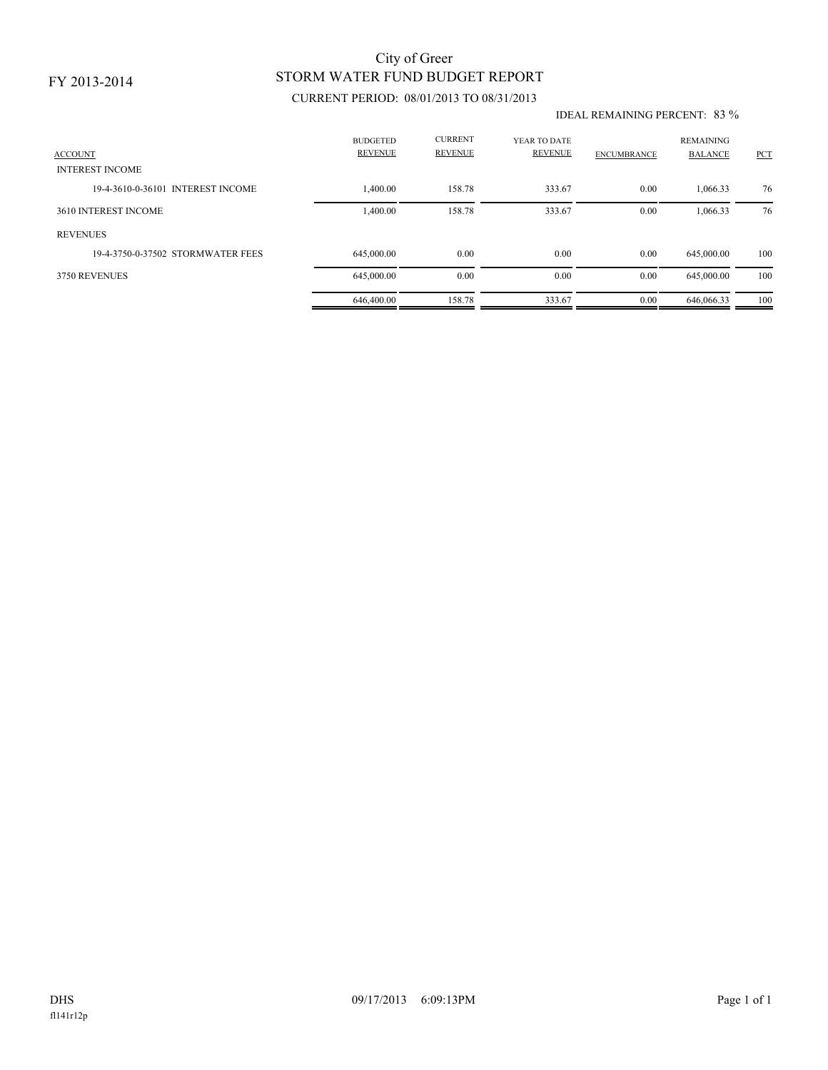### FY 2013-2014

# STORM WATER FUND BUDGET REPORT City of Greer

## CURRENT PERIOD: 08/01/2013 TO 08/31/2013

#### IDEAL REMAINING PERCENT: 83 %

| <b>ACCOUNT</b><br><b>INTEREST INCOME</b> | <b>BUDGETED</b><br><b>REVENUE</b> | <b>CURRENT</b><br><b>REVENUE</b> | YEAR TO DATE<br><b>REVENUE</b> | <b>ENCUMBRANCE</b> | <b>REMAINING</b><br><b>BALANCE</b> | <b>PCT</b> |
|------------------------------------------|-----------------------------------|----------------------------------|--------------------------------|--------------------|------------------------------------|------------|
| 19-4-3610-0-36101 INTEREST INCOME        | 1,400.00                          | 158.78                           | 333.67                         | 0.00               | 1,066.33                           | 76         |
| 3610 INTEREST INCOME                     | 1,400.00                          | 158.78                           | 333.67                         | 0.00               | 1,066.33                           | 76         |
| <b>REVENUES</b>                          |                                   |                                  |                                |                    |                                    |            |
| 19-4-3750-0-37502 STORMWATER FEES        | 645,000.00                        | 0.00                             | 0.00                           | 0.00               | 645,000.00                         | 100        |
| 3750 REVENUES                            | 645,000.00                        | 0.00                             | 0.00                           | 0.00               | 645,000.00                         | 100        |
|                                          | 646,400.00                        | 158.78                           | 333.67                         | 0.00               | 646,066.33                         | 100        |